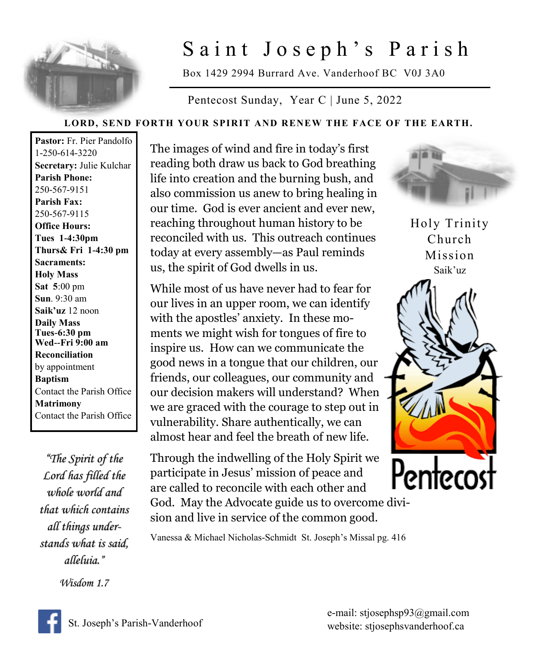

## Saint Joseph's Parish

Box 1429 2994 Burrard Ave. Vanderhoof BC V0J 3A0

Pentecost Sunday, Year C | June 5, 2022

## **LORD, SEND FORTH YOUR SPIRIT AND RENEW THE FACE OF THE EARTH.**

**Pastor:** Fr. Pier Pandolfo 1-250-614-3220 **Secretary:** Julie Kulchar **Parish Phone:** 250-567-9151 **Parish Fax:** 250-567-9115 **Office Hours: Tues 1-4:30pm Thurs& Fri 1-4:30 pm Sacraments: Holy Mass Sat 5**:00 pm **Sun**. 9:30 am **Saik'uz** 12 noon **Daily Mass Tues-6:30 pm Wed--Fri 9:00 am Reconciliation** by appointment **Baptism** Contact the Parish Office **Matrimony** Contact the Parish Office

*"The Spirit of the Lord has filled the whole world and that which contains all things understands what is said, alleluia."* 

*Wisdom 1.7* 

The images of wind and fire in today's first reading both draw us back to God breathing life into creation and the burning bush, and also commission us anew to bring healing in our time. God is ever ancient and ever new, reaching throughout human history to be reconciled with us. This outreach continues today at every assembly—as Paul reminds us, the spirit of God dwells in us.

While most of us have never had to fear for our lives in an upper room, we can identify with the apostles' anxiety. In these moments we might wish for tongues of fire to inspire us. How can we communicate the good news in a tongue that our children, our friends, our colleagues, our community and our decision makers will understand? When we are graced with the courage to step out in vulnerability. Share authentically, we can almost hear and feel the breath of new life.

Through the indwelling of the Holy Spirit we participate in Jesus' mission of peace and are called to reconcile with each other and God. May the Advocate guide us to overcome divi-

sion and live in service of the common good.



Holy Trinity Church Mission Saik'uz



Vanessa & Michael Nicholas-Schmidt St. Joseph's Missal pg. 416



e-mail: stjosephsp93@gmail.com website: stjosephsvanderhoof.ca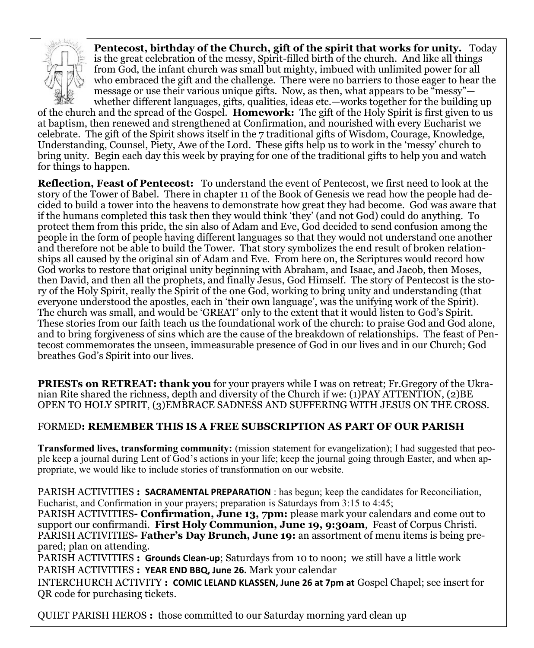

**Pentecost, birthday of the Church, gift of the spirit that works for unity.** Today is the great celebration of the messy, Spirit-filled birth of the church. And like all things from God, the infant church was small but mighty, imbued with unlimited power for all who embraced the gift and the challenge. There were no barriers to those eager to hear the message or use their various unique gifts. Now, as then, what appears to be "messy" whether different languages, gifts, qualities, ideas etc.—works together for the building up

of the church and the spread of the Gospel. **Homework:** The gift of the Holy Spirit is first given to us at baptism, then renewed and strengthened at Confirmation, and nourished with every Eucharist we celebrate. The gift of the Spirit shows itself in the 7 traditional gifts of Wisdom, Courage, Knowledge, Understanding, Counsel, Piety, Awe of the Lord. These gifts help us to work in the 'messy' church to bring unity. Begin each day this week by praying for one of the traditional gifts to help you and watch for things to happen.

**Reflection, Feast of Pentecost:** To understand the event of Pentecost, we first need to look at the story of the Tower of Babel. There in chapter 11 of the Book of Genesis we read how the people had decided to build a tower into the heavens to demonstrate how great they had become. God was aware that if the humans completed this task then they would think 'they' (and not God) could do anything. To protect them from this pride, the sin also of Adam and Eve, God decided to send confusion among the people in the form of people having different languages so that they would not understand one another and therefore not be able to build the Tower. That story symbolizes the end result of broken relationships all caused by the original sin of Adam and Eve. From here on, the Scriptures would record how God works to restore that original unity beginning with Abraham, and Isaac, and Jacob, then Moses, then David, and then all the prophets, and finally Jesus, God Himself. The story of Pentecost is the story of the Holy Spirit, really the Spirit of the one God, working to bring unity and understanding (that everyone understood the apostles, each in 'their own language', was the unifying work of the Spirit). The church was small, and would be 'GREAT' only to the extent that it would listen to God's Spirit. These stories from our faith teach us the foundational work of the church: to praise God and God alone, and to bring forgiveness of sins which are the cause of the breakdown of relationships. The feast of Pentecost commemorates the unseen, immeasurable presence of God in our lives and in our Church; God breathes God's Spirit into our lives.

**PRIESTs on RETREAT: thank you** for your prayers while I was on retreat; Fr.Gregory of the Ukranian Rite shared the richness, depth and diversity of the Church if we: (1)PAY ATTENTION, (2)BE OPEN TO HOLY SPIRIT, (3)EMBRACE SADNESS AND SUFFERING WITH JESUS ON THE CROSS.

## FORMED**: REMEMBER THIS IS A FREE SUBSCRIPTION AS PART OF OUR PARISH**

**Transformed lives, transforming community:** (mission statement for evangelization); I had suggested that people keep a journal during Lent of God's actions in your life; keep the journal going through Easter, and when appropriate, we would like to include stories of transformation on our website.

PARISH ACTIVITIES **: SACRAMENTAL PREPARATION** : has begun; keep the candidates for Reconciliation, Eucharist, and Confirmation in your prayers; preparation is Saturdays from 3:15 to 4:45;

PARISH ACTIVITIES**- Confirmation, June 13, 7pm:** please mark your calendars and come out to support our confirmandi. **First Holy Communion, June 19, 9:30am**, Feast of Corpus Christi. PARISH ACTIVITIES**- Father's Day Brunch, June 19:** an assortment of menu items is being prepared; plan on attending.

PARISH ACTIVITIES **: Grounds Clean-up**; Saturdays from 10 to noon; we still have a little work PARISH ACTIVITIES **: YEAR END BBQ, June 26.** Mark your calendar

INTERCHURCH ACTIVITY **: COMIC LELAND KLASSEN, June 26 at 7pm at** Gospel Chapel; see insert for QR code for purchasing tickets.

QUIET PARISH HEROS **:** those committed to our Saturday morning yard clean up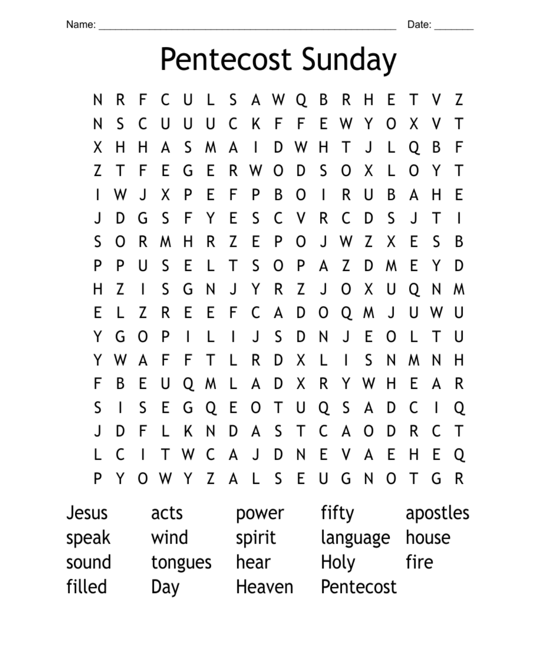## Pentecost Sunday

|                  | Ν | R | F      |   | U            | L | S | А        | W    | Q | В | R | Η | E | т | ٧ | Z |
|------------------|---|---|--------|---|--------------|---|---|----------|------|---|---|---|---|---|---|---|---|
|                  | Ν | S |        | U | U            | U | C | Κ        | F    | F | E | W | Y | 0 | Χ | ٧ | Т |
|                  | Χ | Н | н      | A | S            | м | A | ı        | D    | W | Н | Т | J | L | Q | В | F |
|                  | Z | т | F      | E | G            | E | R | W        | 0    | D | S | 0 | Χ | L | 0 | Υ | Т |
|                  | I | W | J      | Χ | P            | E | F | P        | B    | 0 | I | R | U | B | A | Н | E |
|                  | J | D | G      | S | F            | Υ | E | S        | C    | ٧ | R | C | D | S | J | т | ı |
|                  | S | 0 | R      | м | Н            | R | Z | E        | P    | 0 | J | W | Z | Χ | E | S | B |
|                  | P | P | U      | S | E            | L | Т | S        | 0    | P | A | Z | D | W | E | Υ | D |
|                  | Н | Z | ı      | S | G            | Ν | J | Υ        | R    | Z | J | 0 | Χ | U | Q | Ν | м |
|                  | E |   | Z      | R | E            | E | F | C        | A    | D | 0 | Q | W | J | U | W | U |
|                  | Y | G | 0      | P | I            |   | ı | J        | S    | D | Ν | J | E | 0 |   | т | U |
|                  | Y | W | A      | F | F            | Т | L | R        | D    | Χ | L | I | S | Ν | W | Ν | Н |
|                  | F | B | E      | U | Q            | W | L | А        | D    | Χ | R | Υ | W | н | E | A | R |
|                  | S | ı | S      | E | G            | Q | E | 0        | Т    | U | Q | S | A | D | C | I | Q |
|                  | J | D | F      |   | Κ            | Ν | D | A        | S    | Т | C | A | 0 | D | R | C | Τ |
|                  | L | C | I      | Т | W            | C | A | J        | D    | Ν | E | ٧ | A | E | Н | E | Q |
|                  | P | Y | O      | W | $\mathsf{Y}$ | Z | A | Г        | S    | E | U | G | N | 0 | Т | G | R |
| acts<br>Jesus    |   |   | power  |   | fifty        |   |   | apostles |      |   |   |   |   |   |   |   |   |
| speak<br>wind    |   |   | spirit |   | language     |   |   | house    |      |   |   |   |   |   |   |   |   |
| sound<br>tongues |   |   | hear   |   | Holy         |   |   |          | fire |   |   |   |   |   |   |   |   |
| filled<br>Day    |   |   | Heaven |   | Pentecost    |   |   |          |      |   |   |   |   |   |   |   |   |